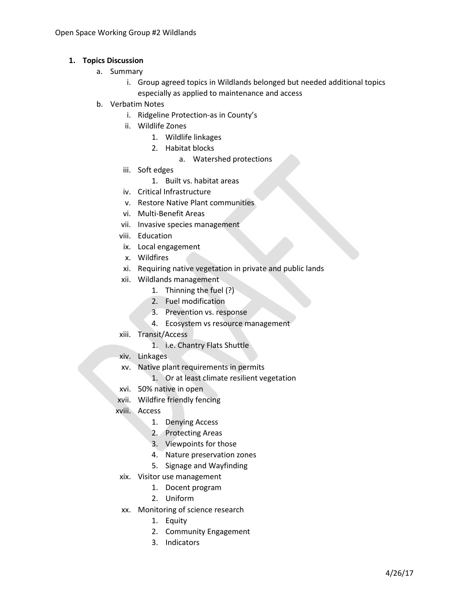## **1. Topics Discussion**

- a. Summary
	- i. Group agreed topics in Wildlands belonged but needed additional topics especially as applied to maintenance and access
- b. Verbatim Notes
	- i. Ridgeline Protection-as in County's
	- ii. Wildlife Zones
		- 1. Wildlife linkages
		- 2. Habitat blocks
			- a. Watershed protections
	- iii. Soft edges
		- 1. Built vs. habitat areas
	- iv. Critical Infrastructure
	- v. Restore Native Plant communities
	- vi. Multi-Benefit Areas
	- vii. Invasive species management
	- viii. Education
	- ix. Local engagement
	- x. Wildfires
	- xi. Requiring native vegetation in private and public lands
	- xii. Wildlands management
		- 1. Thinning the fuel (?)
		- 2. Fuel modification
		- 3. Prevention vs. response
		- 4. Ecosystem vs resource management
	- xiii. Transit/Access
		- 1. i.e. Chantry Flats Shuttle
	- xiv. Linkages
	- xv. Native plant requirements in permits
		- 1. Or at least climate resilient vegetation
	- xvi. 50% native in open
	- xvii. Wildfire friendly fencing
	- xviii. Access
		- 1. Denying Access
		- 2. Protecting Areas
		- 3. Viewpoints for those
		- 4. Nature preservation zones
		- 5. Signage and Wayfinding
	- xix. Visitor use management
		- 1. Docent program
		- 2. Uniform
	- xx. Monitoring of science research
		- 1. Equity
		- 2. Community Engagement
		- 3. Indicators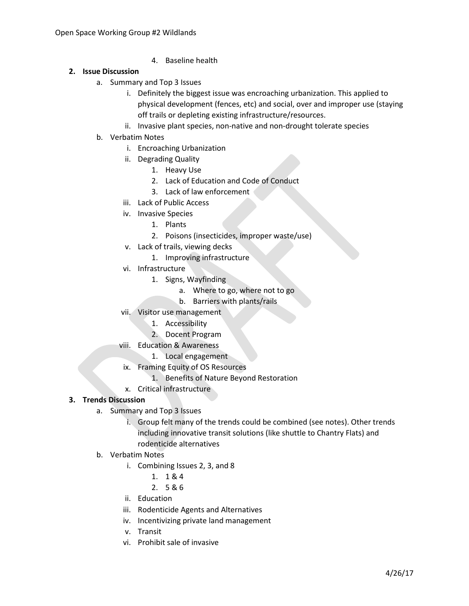4. Baseline health

## **2. Issue Discussion**

- a. Summary and Top 3 Issues
	- i. Definitely the biggest issue was encroaching urbanization. This applied to physical development (fences, etc) and social, over and improper use (staying off trails or depleting existing infrastructure/resources.
	- ii. Invasive plant species, non-native and non-drought tolerate species
- b. Verbatim Notes
	- i. Encroaching Urbanization
	- ii. Degrading Quality
		- 1. Heavy Use
		- 2. Lack of Education and Code of Conduct
		- 3. Lack of law enforcement
	- iii. Lack of Public Access
	- iv. Invasive Species
		- 1. Plants
		- 2. Poisons (insecticides, improper waste/use)
	- v. Lack of trails, viewing decks
		- 1. Improving infrastructure
	- vi. Infrastructure
		- 1. Signs, Wayfinding
			- a. Where to go, where not to go
			- b. Barriers with plants/rails
	- vii. Visitor use management
		- 1. Accessibility
		- 2. Docent Program
	- viii. Education & Awareness
		- 1. Local engagement
	- ix. Framing Equity of OS Resources
		- 1. Benefits of Nature Beyond Restoration
	- x. Critical infrastructure

## **3. Trends Discussion**

- a. Summary and Top 3 Issues
	- i. Group felt many of the trends could be combined (see notes). Other trends including innovative transit solutions (like shuttle to Chantry Flats) and rodenticide alternatives
- b. Verbatim Notes
	- i. Combining Issues 2, 3, and 8
		- 1. 1 & 4
		- 2. 5 & 6
	- ii. Education
	- iii. Rodenticide Agents and Alternatives
	- iv. Incentivizing private land management
	- v. Transit
	- vi. Prohibit sale of invasive